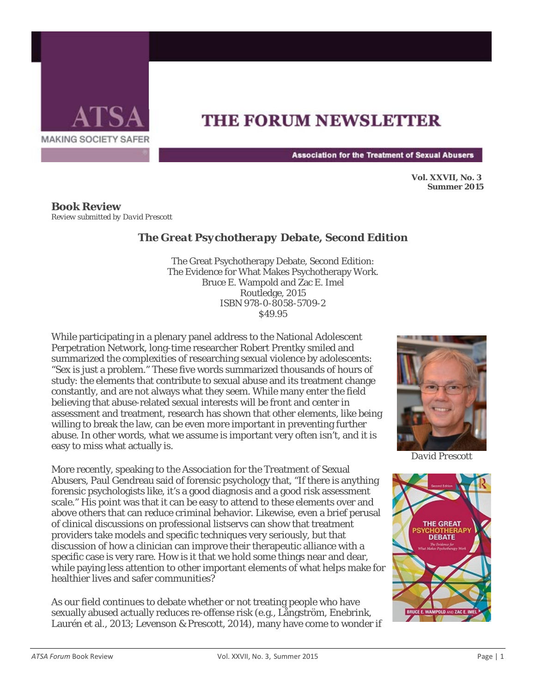

## **THE FORUM NEWSLETTER**

**Association for the Treatment of Sexual Abusers** 

**Vol. XXVII, No. 3 Summer 2015** 

**Book Review** *Review submitted by David Prescott*

## *The Great Psychotherapy Debate, Second Edition*

The Great Psychotherapy Debate, Second Edition: The Evidence for What Makes Psychotherapy Work. Bruce E. Wampold and Zac E. Imel Routledge, 2015 ISBN 978-0-8058-5709-2 \$49.95

While participating in a plenary panel address to the National Adolescent Perpetration Network, long-time researcher Robert Prentky smiled and summarized the complexities of researching sexual violence by adolescents: "Sex is just a problem." These five words summarized thousands of hours of study: the elements that contribute to sexual abuse and its treatment change constantly, and are not always what they seem. While many enter the field believing that abuse-related sexual interests will be front and center in assessment and treatment, research has shown that other elements, like being willing to break the law, can be even more important in preventing further abuse. In other words, what we assume is important very often isn't, and it is easy to miss what actually is.

More recently, speaking to the Association for the Treatment of Sexual Abusers, Paul Gendreau said of forensic psychology that, "If there is anything forensic psychologists like, it's a good diagnosis and a good risk assessment scale." His point was that it can be easy to attend to these elements over and above others that can reduce criminal behavior. Likewise, even a brief perusal of clinical discussions on professional listservs can show that treatment providers take models and specific techniques very seriously, but that discussion of how a clinician can improve their therapeutic alliance with a specific case is very rare. How is it that we hold some things near and dear, while paying less attention to other important elements of what helps make for healthier lives and safer communities?

As our field continues to debate whether or not treating people who have sexually abused actually reduces re-offense risk (e.g., Långström, Enebrink, Laurén et al., 2013; Levenson & Prescott, 2014), many have come to wonder if



*David Prescott*

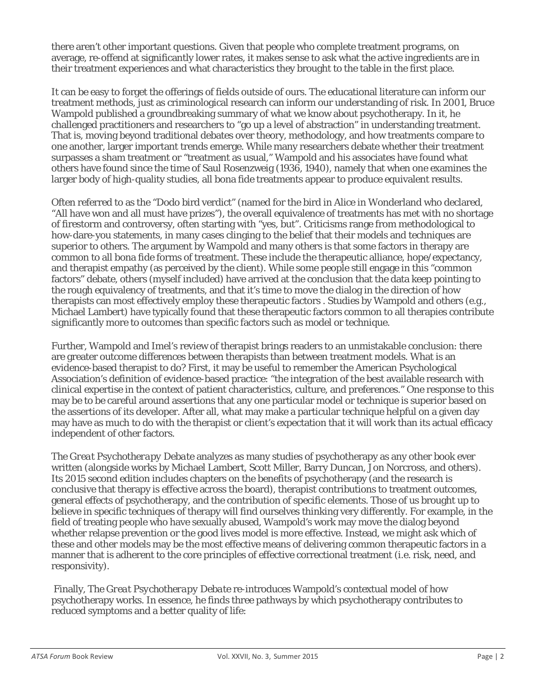there aren't other important questions. Given that people who complete treatment programs, on average, re-offend at significantly lower rates, it makes sense to ask what the active ingredients are in their treatment experiences and what characteristics they brought to the table in the first place.

It can be easy to forget the offerings of fields outside of ours. The educational literature can inform our treatment methods, just as criminological research can inform our understanding of risk. In 2001, Bruce Wampold published a groundbreaking summary of what we know about psychotherapy. In it, he challenged practitioners and researchers to "go up a level of abstraction" in understanding treatment. That is, moving beyond traditional debates over theory, methodology, and how treatments compare to one another, larger important trends emerge. While many researchers debate whether their treatment surpasses a sham treatment or "treatment as usual," Wampold and his associates have found what others have found since the time of Saul Rosenzweig (1936, 1940), namely that when one examines the larger body of high-quality studies, all bona fide treatments appear to produce equivalent results.

Often referred to as the "Dodo bird verdict" (named for the bird in Alice in Wonderland who declared, "All have won and all must have prizes"), the overall equivalence of treatments has met with no shortage of firestorm and controversy, often starting with "yes, but". Criticisms range from methodological to how-dare-you statements, in many cases clinging to the belief that their models and techniques are superior to others. The argument by Wampold and many others is that some factors in therapy are common to all bona fide forms of treatment. These include the therapeutic alliance, hope/expectancy, and therapist empathy (as perceived by the client). While some people still engage in this "common factors" debate, others (myself included) have arrived at the conclusion that the data keep pointing to the rough equivalency of treatments, and that it's time to move the dialog in the direction of how therapists can most effectively employ these therapeutic factors . Studies by Wampold and others (e.g., Michael Lambert) have typically found that these therapeutic factors common to all therapies contribute significantly more to outcomes than specific factors such as model or technique.

Further, Wampold and Imel's review of therapist brings readers to an unmistakable conclusion: there are greater outcome differences between therapists than between treatment models. What is an evidence-based therapist to do? First, it may be useful to remember the American Psychological Association's definition of evidence-based practice: "the integration of the best available research with clinical expertise in the context of patient characteristics, culture, and preferences." One response to this may be to be careful around assertions that any one particular model or technique is superior based on the assertions of its developer. After all, what may make a particular technique helpful on a given day may have as much to do with the therapist or client's expectation that it will work than its actual efficacy independent of other factors.

*The Great Psychotherapy Debate* analyzes as many studies of psychotherapy as any other book ever written (alongside works by Michael Lambert, Scott Miller, Barry Duncan, Jon Norcross, and others). Its 2015 second edition includes chapters on the benefits of psychotherapy (and the research is conclusive that therapy is effective across the board), therapist contributions to treatment outcomes, general effects of psychotherapy, and the contribution of specific elements. Those of us brought up to believe in specific techniques of therapy will find ourselves thinking very differently. For example, in the field of treating people who have sexually abused, Wampold's work may move the dialog beyond whether relapse prevention or the good lives model is more effective. Instead, we might ask which of these and other models may be the most effective means of delivering common therapeutic factors in a manner that is adherent to the core principles of effective correctional treatment (i.e. risk, need, and responsivity).

Finally, *The Great Psychotherapy Debate* re-introduces Wampold's contextual model of how psychotherapy works. In essence, he finds three pathways by which psychotherapy contributes to reduced symptoms and a better quality of life: